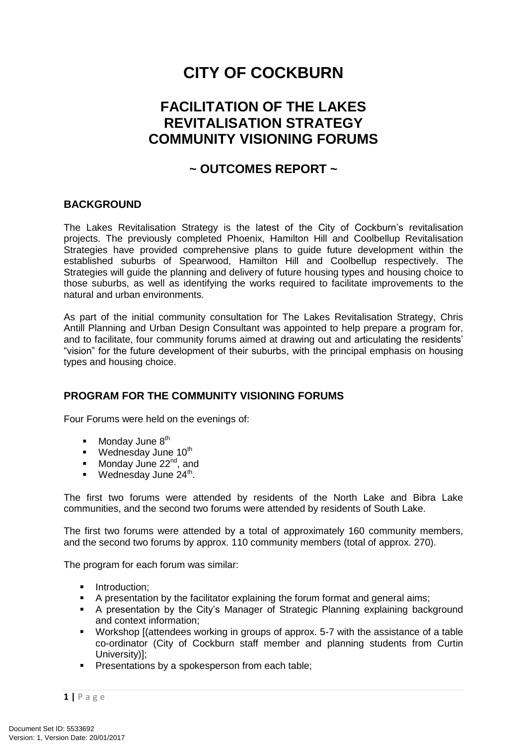# **CITY OF COCKBURN**

## **FACILITATION OF THE LAKES REVITALISATION STRATEGY COMMUNITY VISIONING FORUMS**

### **~ OUTCOMES REPORT ~**

#### **BACKGROUND**

The Lakes Revitalisation Strategy is the latest of the City of Cockburn's revitalisation projects. The previously completed Phoenix, Hamilton Hill and Coolbellup Revitalisation Strategies have provided comprehensive plans to guide future development within the established suburbs of Spearwood, Hamilton Hill and Coolbellup respectively. The Strategies will guide the planning and delivery of future housing types and housing choice to those suburbs, as well as identifying the works required to facilitate improvements to the natural and urban environments.

As part of the initial community consultation for The Lakes Revitalisation Strategy, Chris Antill Planning and Urban Design Consultant was appointed to help prepare a program for, and to facilitate, four community forums aimed at drawing out and articulating the residents' "vision" for the future development of their suburbs, with the principal emphasis on housing types and housing choice.

#### **PROGRAM FOR THE COMMUNITY VISIONING FORUMS**

Four Forums were held on the evenings of:

- $\blacksquare$  Monday June  $8^{th}$
- **Wednesday June 10<sup>th</sup>**
- Monday June  $22<sup>nd</sup>$ , and
- **Wednesday June 24<sup>th</sup>**.

The first two forums were attended by residents of the North Lake and Bibra Lake communities, and the second two forums were attended by residents of South Lake.

The first two forums were attended by a total of approximately 160 community members, and the second two forums by approx. 110 community members (total of approx. 270).

The program for each forum was similar:

- Introduction:
- A presentation by the facilitator explaining the forum format and general aims;
- A presentation by the City's Manager of Strategic Planning explaining background and context information;
- Workshop [(attendees working in groups of approx. 5-7 with the assistance of a table co-ordinator (City of Cockburn staff member and planning students from Curtin University)];
- **Presentations by a spokesperson from each table;**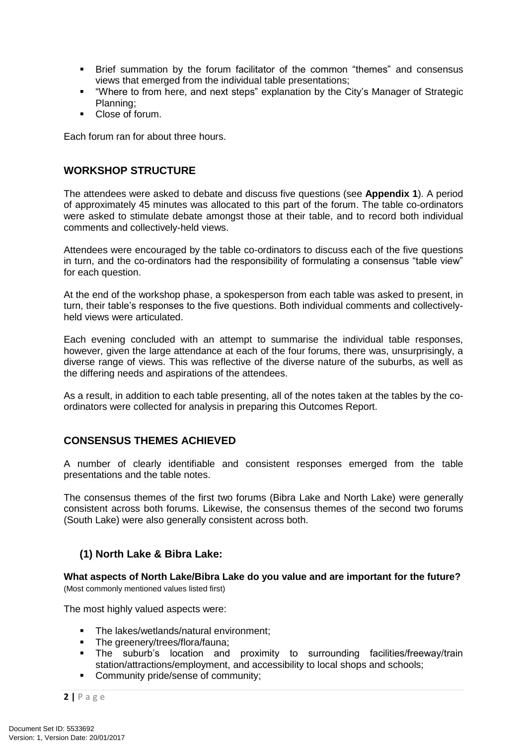- Brief summation by the forum facilitator of the common "themes" and consensus views that emerged from the individual table presentations;
- "Where to from here, and next steps" explanation by the City's Manager of Strategic Planning;
- Close of forum.

Each forum ran for about three hours.

#### **WORKSHOP STRUCTURE**

The attendees were asked to debate and discuss five questions (see **Appendix 1**). A period of approximately 45 minutes was allocated to this part of the forum. The table co-ordinators were asked to stimulate debate amongst those at their table, and to record both individual comments and collectively-held views.

Attendees were encouraged by the table co-ordinators to discuss each of the five questions in turn, and the co-ordinators had the responsibility of formulating a consensus "table view" for each question.

At the end of the workshop phase, a spokesperson from each table was asked to present, in turn, their table's responses to the five questions. Both individual comments and collectivelyheld views were articulated.

Each evening concluded with an attempt to summarise the individual table responses, however, given the large attendance at each of the four forums, there was, unsurprisingly, a diverse range of views. This was reflective of the diverse nature of the suburbs, as well as the differing needs and aspirations of the attendees.

As a result, in addition to each table presenting, all of the notes taken at the tables by the coordinators were collected for analysis in preparing this Outcomes Report.

#### **CONSENSUS THEMES ACHIEVED**

A number of clearly identifiable and consistent responses emerged from the table presentations and the table notes.

The consensus themes of the first two forums (Bibra Lake and North Lake) were generally consistent across both forums. Likewise, the consensus themes of the second two forums (South Lake) were also generally consistent across both.

#### **(1) North Lake & Bibra Lake:**

**What aspects of North Lake/Bibra Lake do you value and are important for the future?** (Most commonly mentioned values listed first)

The most highly valued aspects were:

- **The lakes/wetlands/natural environment;**
- The greenery/trees/flora/fauna;
- The suburb's location and proximity to surrounding facilities/freeway/train station/attractions/employment, and accessibility to local shops and schools;
- **Community pride/sense of community;**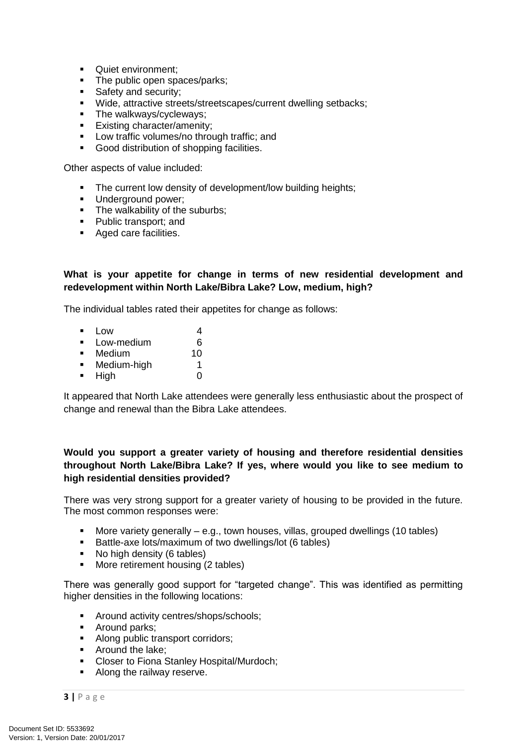- **Quiet environment;**
- The public open spaces/parks;
- Safety and security;
- Wide, attractive streets/streetscapes/current dwelling setbacks;
- The walkways/cycleways;
- **Existing character/amenity;**
- **Low traffic volumes/no through traffic; and**
- Good distribution of shopping facilities.

Other aspects of value included:

- The current low density of development/low building heights;
- **Underground power;**
- The walkability of the suburbs;
- Public transport: and
- **Aged care facilities.**

#### **What is your appetite for change in terms of new residential development and redevelopment within North Lake/Bibra Lake? Low, medium, high?**

The individual tables rated their appetites for change as follows:

- $\blacksquare$  Low 4 Low-medium 6 Medium 10
- **Medium-high** 1  $\blacksquare$  High  $\blacksquare$

It appeared that North Lake attendees were generally less enthusiastic about the prospect of change and renewal than the Bibra Lake attendees.

#### **Would you support a greater variety of housing and therefore residential densities throughout North Lake/Bibra Lake? If yes, where would you like to see medium to high residential densities provided?**

There was very strong support for a greater variety of housing to be provided in the future. The most common responses were:

- More variety generally e.g., town houses, villas, grouped dwellings (10 tables)
- Battle-axe lots/maximum of two dwellings/lot (6 tables)
- No high density (6 tables)
- More retirement housing (2 tables)

There was generally good support for "targeted change". This was identified as permitting higher densities in the following locations:

- **Around activity centres/shops/schools;**
- **Around parks;**
- Along public transport corridors:
- Around the lake:
- **EXECT** Closer to Fiona Stanley Hospital/Murdoch;
- Along the railway reserve.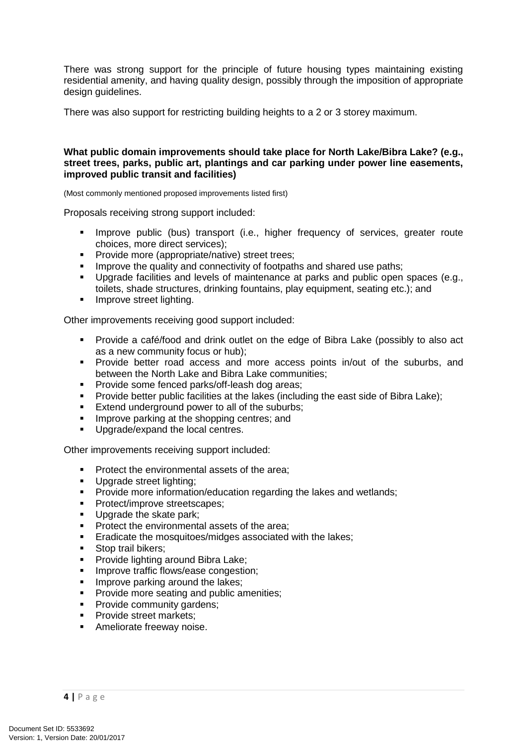There was strong support for the principle of future housing types maintaining existing residential amenity, and having quality design, possibly through the imposition of appropriate design guidelines.

There was also support for restricting building heights to a 2 or 3 storey maximum.

#### **What public domain improvements should take place for North Lake/Bibra Lake? (e.g., street trees, parks, public art, plantings and car parking under power line easements, improved public transit and facilities)**

(Most commonly mentioned proposed improvements listed first)

Proposals receiving strong support included:

- Improve public (bus) transport (i.e., higher frequency of services, greater route choices, more direct services);
- **Provide more (appropriate/native) street trees;**
- **IMPROVE the quality and connectivity of footpaths and shared use paths;**
- Upgrade facilities and levels of maintenance at parks and public open spaces (e.g., toilets, shade structures, drinking fountains, play equipment, seating etc.); and
- **IMPROVE street lighting.**

Other improvements receiving good support included:

- Provide a café/food and drink outlet on the edge of Bibra Lake (possibly to also act as a new community focus or hub);
- Provide better road access and more access points in/out of the suburbs, and between the North Lake and Bibra Lake communities;
- **Provide some fenced parks/off-leash dog areas:**
- Provide better public facilities at the lakes (including the east side of Bibra Lake);
- **Extend underground power to all of the suburbs:**
- **IMPROVE parking at the shopping centres; and**
- **Upgrade/expand the local centres.**

Other improvements receiving support included:

- **Protect the environmental assets of the area;**
- **Upgrade street lighting;**<br>Provide more information
- Provide more information/education regarding the lakes and wetlands;
- **Protect/improve streetscapes;**
- Upgrade the skate park;
- **Protect the environmental assets of the area;**
- **Exadicate the mosquitoes/midges associated with the lakes;**
- Stop trail bikers:
- **Provide lighting around Bibra Lake;**
- **IMPROVE traffic flows/ease congestion:**
- **IMPROVE parking around the lakes:**
- **Provide more seating and public amenities;**
- **Provide community gardens;**
- **Provide street markets;**
- **Ameliorate freeway noise.**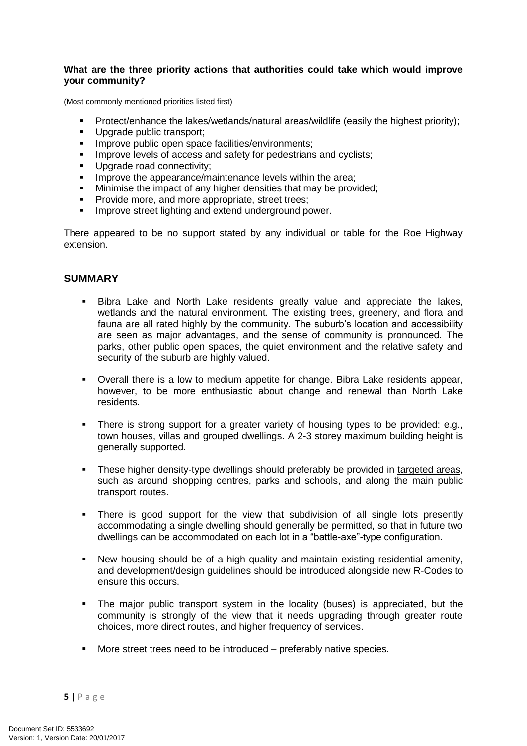#### **What are the three priority actions that authorities could take which would improve your community?**

(Most commonly mentioned priorities listed first)

- Protect/enhance the lakes/wetlands/natural areas/wildlife (easily the highest priority);
- Upgrade public transport:
- **Improve public open space facilities/environments;**
- **IMPROVE LACKERS IN ACCESS and safety for pedestrians and cyclists;**
- **Upgrade road connectivity;**
- Improve the appearance/maintenance levels within the area;<br>In Minimise the impact of any higher densities that may be prove
- Minimise the impact of any higher densities that may be provided;
- **Provide more, and more appropriate, street trees:**
- **IMPROVE Street lighting and extend underground power.**

There appeared to be no support stated by any individual or table for the Roe Highway extension.

#### **SUMMARY**

- Bibra Lake and North Lake residents greatly value and appreciate the lakes, wetlands and the natural environment. The existing trees, greenery, and flora and fauna are all rated highly by the community. The suburb's location and accessibility are seen as major advantages, and the sense of community is pronounced. The parks, other public open spaces, the quiet environment and the relative safety and security of the suburb are highly valued.
- Overall there is a low to medium appetite for change. Bibra Lake residents appear, however, to be more enthusiastic about change and renewal than North Lake residents.
- There is strong support for a greater variety of housing types to be provided: e.g., town houses, villas and grouped dwellings. A 2-3 storey maximum building height is generally supported.
- **These higher density-type dwellings should preferably be provided in targeted areas,** such as around shopping centres, parks and schools, and along the main public transport routes.
- There is good support for the view that subdivision of all single lots presently accommodating a single dwelling should generally be permitted, so that in future two dwellings can be accommodated on each lot in a "battle-axe"-type configuration.
- New housing should be of a high quality and maintain existing residential amenity, and development/design guidelines should be introduced alongside new R-Codes to ensure this occurs.
- The major public transport system in the locality (buses) is appreciated, but the community is strongly of the view that it needs upgrading through greater route choices, more direct routes, and higher frequency of services.
- More street trees need to be introduced preferably native species.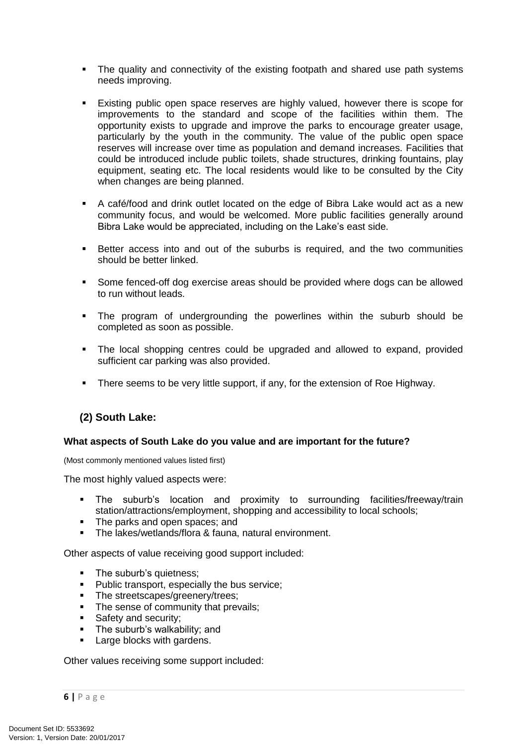- The quality and connectivity of the existing footpath and shared use path systems needs improving.
- Existing public open space reserves are highly valued, however there is scope for improvements to the standard and scope of the facilities within them. The opportunity exists to upgrade and improve the parks to encourage greater usage, particularly by the youth in the community. The value of the public open space reserves will increase over time as population and demand increases. Facilities that could be introduced include public toilets, shade structures, drinking fountains, play equipment, seating etc. The local residents would like to be consulted by the City when changes are being planned.
- A café/food and drink outlet located on the edge of Bibra Lake would act as a new community focus, and would be welcomed. More public facilities generally around Bibra Lake would be appreciated, including on the Lake's east side.
- Better access into and out of the suburbs is required, and the two communities should be better linked.
- Some fenced-off dog exercise areas should be provided where dogs can be allowed to run without leads.
- The program of undergrounding the powerlines within the suburb should be completed as soon as possible.
- The local shopping centres could be upgraded and allowed to expand, provided sufficient car parking was also provided.
- There seems to be very little support, if any, for the extension of Roe Highway.

#### **(2) South Lake:**

#### **What aspects of South Lake do you value and are important for the future?**

(Most commonly mentioned values listed first)

The most highly valued aspects were:

- The suburb's location and proximity to surrounding facilities/freeway/train station/attractions/employment, shopping and accessibility to local schools;
- The parks and open spaces; and
- The lakes/wetlands/flora & fauna, natural environment.

Other aspects of value receiving good support included:

- The suburb's quietness;
- **Public transport, especially the bus service;**
- The streetscapes/greenery/trees;
- The sense of community that prevails:
- Safety and security;
- The suburb's walkability; and
- **Large blocks with gardens.**

Other values receiving some support included: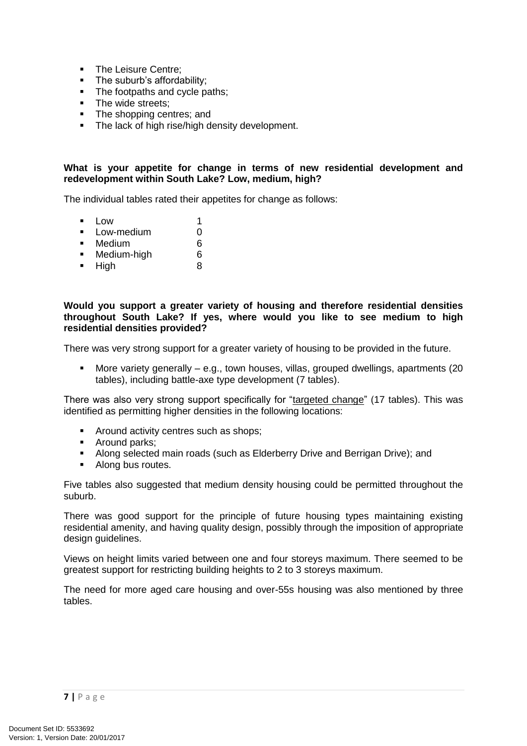- The Leisure Centre;
- The suburb's affordability;
- The footpaths and cycle paths;
- The wide streets;<br>■ The shopping cer
- The shopping centres; and
- The lack of high rise/high density development.

#### **What is your appetite for change in terms of new residential development and redevelopment within South Lake? Low, medium, high?**

The individual tables rated their appetites for change as follows:

- $\blacksquare$  Low 1
- **Low-medium** 0
- Medium 6
- **Medium-high** 6
- $-Hich$  8

#### **Would you support a greater variety of housing and therefore residential densities throughout South Lake? If yes, where would you like to see medium to high residential densities provided?**

There was very strong support for a greater variety of housing to be provided in the future.

 More variety generally – e.g., town houses, villas, grouped dwellings, apartments (20 tables), including battle-axe type development (7 tables).

There was also very strong support specifically for "targeted change" (17 tables). This was identified as permitting higher densities in the following locations:

- **Around activity centres such as shops;**
- Around parks;<br>• Along selected
- Along selected main roads (such as Elderberry Drive and Berrigan Drive); and
- Along bus routes.

Five tables also suggested that medium density housing could be permitted throughout the suburb.

There was good support for the principle of future housing types maintaining existing residential amenity, and having quality design, possibly through the imposition of appropriate design guidelines.

Views on height limits varied between one and four storeys maximum. There seemed to be greatest support for restricting building heights to 2 to 3 storeys maximum.

The need for more aged care housing and over-55s housing was also mentioned by three tables.

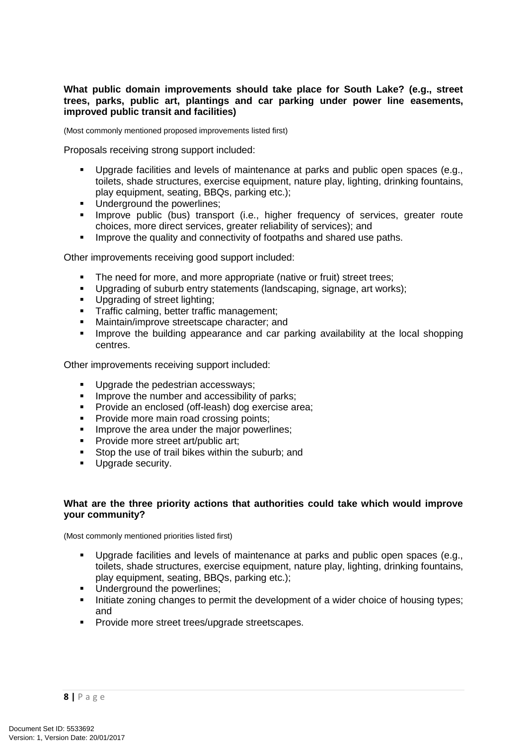#### **What public domain improvements should take place for South Lake? (e.g., street trees, parks, public art, plantings and car parking under power line easements, improved public transit and facilities)**

(Most commonly mentioned proposed improvements listed first)

Proposals receiving strong support included:

- Upgrade facilities and levels of maintenance at parks and public open spaces (e.g., toilets, shade structures, exercise equipment, nature play, lighting, drinking fountains, play equipment, seating, BBQs, parking etc.);
- Underground the powerlines;
- Improve public (bus) transport (i.e., higher frequency of services, greater route choices, more direct services, greater reliability of services); and
- **IMPROVE the quality and connectivity of footpaths and shared use paths.**

Other improvements receiving good support included:

- The need for more, and more appropriate (native or fruit) street trees;
- Upgrading of suburb entry statements (landscaping, signage, art works);
- **Upgrading of street lighting;**
- Traffic calming, better traffic management;<br>Maintain/improve streetscane character: ar
- Maintain/improve streetscape character; and
- Improve the building appearance and car parking availability at the local shopping centres.

Other improvements receiving support included:

- Upgrade the pedestrian accessways:
- **IMPROVE the number and accessibility of parks:**
- **Provide an enclosed (off-leash) dog exercise area;**
- **Provide more main road crossing points;**
- **IMPROVE the area under the major powerlines;**
- **Provide more street art/public art;**
- Stop the use of trail bikes within the suburb; and
- **Upgrade security.**

#### **What are the three priority actions that authorities could take which would improve your community?**

(Most commonly mentioned priorities listed first)

- Upgrade facilities and levels of maintenance at parks and public open spaces (e.g., toilets, shade structures, exercise equipment, nature play, lighting, drinking fountains, play equipment, seating, BBQs, parking etc.);
- **Underground the powerlines:**
- Initiate zoning changes to permit the development of a wider choice of housing types; and
- **Provide more street trees/upgrade streetscapes.**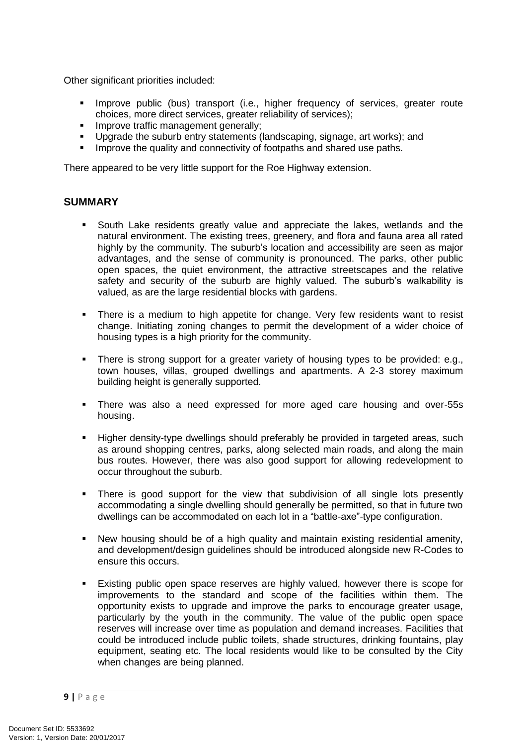Other significant priorities included:

- **IMPROVE public (bus) transport (i.e., higher frequency of services, greater route** choices, more direct services, greater reliability of services);
- **IMPROVE traffic management generally;**
- Upgrade the suburb entry statements (landscaping, signage, art works); and
- Improve the quality and connectivity of footpaths and shared use paths.

There appeared to be very little support for the Roe Highway extension.

#### **SUMMARY**

- South Lake residents greatly value and appreciate the lakes, wetlands and the natural environment. The existing trees, greenery, and flora and fauna area all rated highly by the community. The suburb's location and accessibility are seen as major advantages, and the sense of community is pronounced. The parks, other public open spaces, the quiet environment, the attractive streetscapes and the relative safety and security of the suburb are highly valued. The suburb's walkability is valued, as are the large residential blocks with gardens.
- There is a medium to high appetite for change. Very few residents want to resist change. Initiating zoning changes to permit the development of a wider choice of housing types is a high priority for the community.
- There is strong support for a greater variety of housing types to be provided: e.g., town houses, villas, grouped dwellings and apartments. A 2-3 storey maximum building height is generally supported.
- There was also a need expressed for more aged care housing and over-55s housing.
- Higher density-type dwellings should preferably be provided in targeted areas, such as around shopping centres, parks, along selected main roads, and along the main bus routes. However, there was also good support for allowing redevelopment to occur throughout the suburb.
- There is good support for the view that subdivision of all single lots presently accommodating a single dwelling should generally be permitted, so that in future two dwellings can be accommodated on each lot in a "battle-axe"-type configuration.
- New housing should be of a high quality and maintain existing residential amenity, and development/design guidelines should be introduced alongside new R-Codes to ensure this occurs.
- Existing public open space reserves are highly valued, however there is scope for improvements to the standard and scope of the facilities within them. The opportunity exists to upgrade and improve the parks to encourage greater usage, particularly by the youth in the community. The value of the public open space reserves will increase over time as population and demand increases. Facilities that could be introduced include public toilets, shade structures, drinking fountains, play equipment, seating etc. The local residents would like to be consulted by the City when changes are being planned.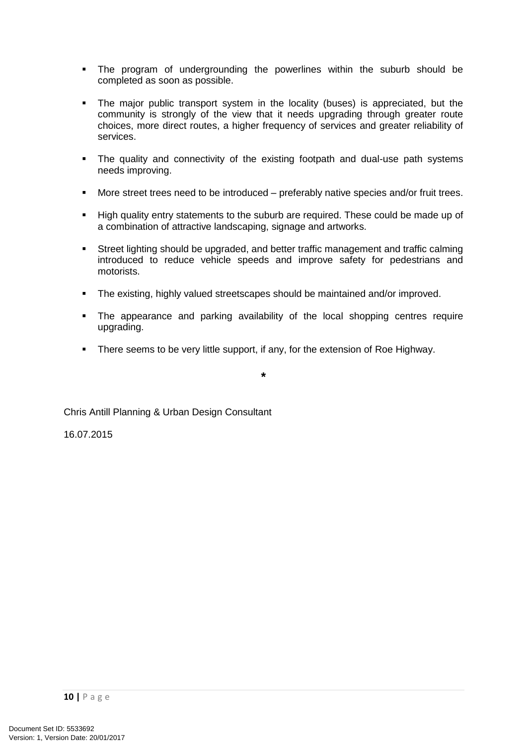- The program of undergrounding the powerlines within the suburb should be completed as soon as possible.
- The major public transport system in the locality (buses) is appreciated, but the community is strongly of the view that it needs upgrading through greater route choices, more direct routes, a higher frequency of services and greater reliability of services.
- The quality and connectivity of the existing footpath and dual-use path systems needs improving.
- More street trees need to be introduced preferably native species and/or fruit trees.
- High quality entry statements to the suburb are required. These could be made up of a combination of attractive landscaping, signage and artworks.
- Street lighting should be upgraded, and better traffic management and traffic calming introduced to reduce vehicle speeds and improve safety for pedestrians and motorists.
- The existing, highly valued streetscapes should be maintained and/or improved.
- The appearance and parking availability of the local shopping centres require upgrading.
- There seems to be very little support, if any, for the extension of Roe Highway.

**\***

Chris Antill Planning & Urban Design Consultant

16.07.2015